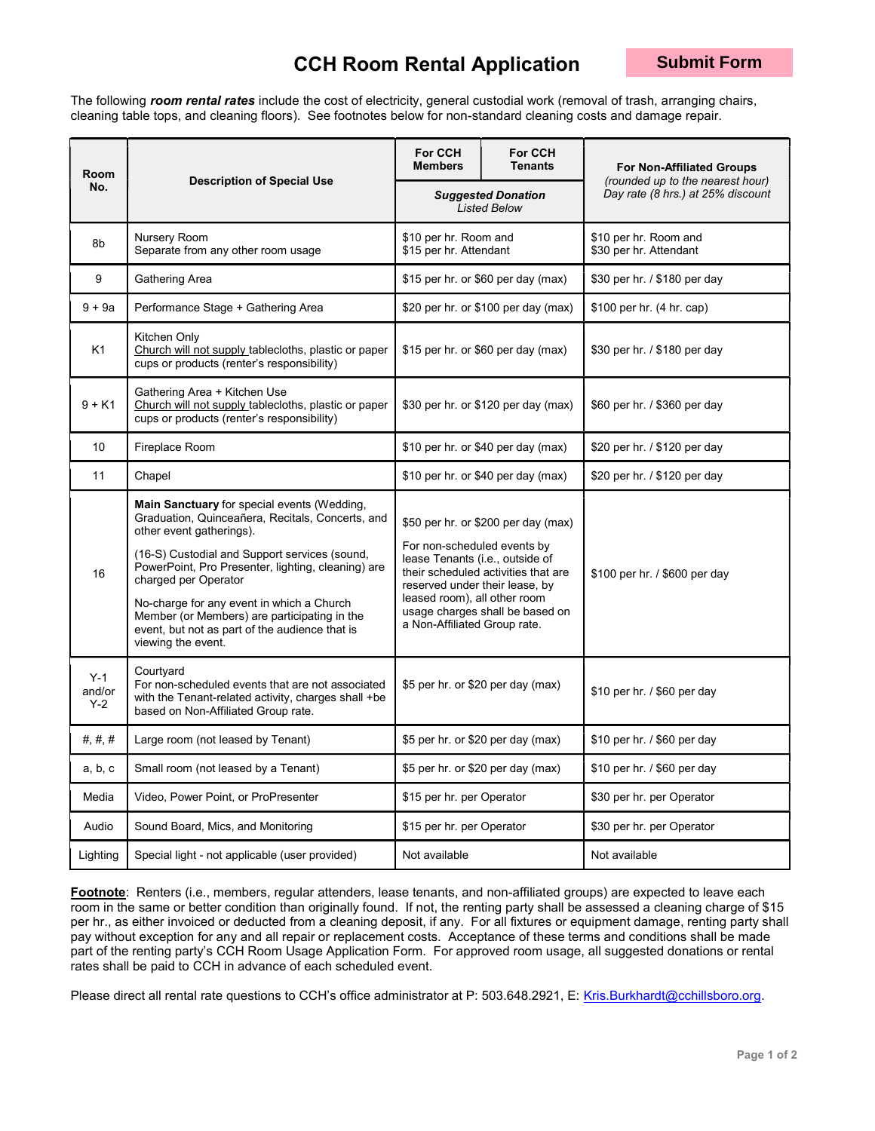## CCH Room Rental Application

The following room rental rates include the cost of electricity, general custodial work (removal of trash, arranging chairs, cleaning table tops, and cleaning floors). See footnotes below for non-standard cleaning costs and damage repair.

| Room                     | <b>Description of Special Use</b>                                                                                                                                                                                                                                                                                                                                                                                               | For CCH<br><b>Members</b>                                                                                                                                                                                                                                                         | For CCH<br><b>Tenants</b>           | <b>For Non-Affiliated Groups</b>                                      |  |
|--------------------------|---------------------------------------------------------------------------------------------------------------------------------------------------------------------------------------------------------------------------------------------------------------------------------------------------------------------------------------------------------------------------------------------------------------------------------|-----------------------------------------------------------------------------------------------------------------------------------------------------------------------------------------------------------------------------------------------------------------------------------|-------------------------------------|-----------------------------------------------------------------------|--|
| No.                      |                                                                                                                                                                                                                                                                                                                                                                                                                                 | <b>Suggested Donation</b><br><b>Listed Below</b>                                                                                                                                                                                                                                  |                                     | (rounded up to the nearest hour)<br>Day rate (8 hrs.) at 25% discount |  |
| 8b                       | Nursery Room<br>Separate from any other room usage                                                                                                                                                                                                                                                                                                                                                                              | \$10 per hr. Room and<br>\$15 per hr. Attendant                                                                                                                                                                                                                                   |                                     | \$10 per hr. Room and<br>\$30 per hr. Attendant                       |  |
| 9                        | Gathering Area                                                                                                                                                                                                                                                                                                                                                                                                                  | \$15 per hr. or \$60 per day (max)                                                                                                                                                                                                                                                |                                     | \$30 per hr. / \$180 per day                                          |  |
| $9 + 9a$                 | Performance Stage + Gathering Area                                                                                                                                                                                                                                                                                                                                                                                              |                                                                                                                                                                                                                                                                                   | \$20 per hr. or \$100 per day (max) | \$100 per hr. (4 hr. cap)                                             |  |
| K1                       | Kitchen Only<br>Church will not supply tablecloths, plastic or paper<br>cups or products (renter's responsibility)                                                                                                                                                                                                                                                                                                              | \$15 per hr. or \$60 per day (max)                                                                                                                                                                                                                                                |                                     | \$30 per hr. / \$180 per day                                          |  |
| $9 + K1$                 | Gathering Area + Kitchen Use<br>Church will not supply tablecloths, plastic or paper<br>cups or products (renter's responsibility)                                                                                                                                                                                                                                                                                              | \$30 per hr. or \$120 per day (max)                                                                                                                                                                                                                                               |                                     | \$60 per hr. / \$360 per day                                          |  |
| 10                       | Fireplace Room                                                                                                                                                                                                                                                                                                                                                                                                                  | \$10 per hr. or \$40 per day (max)                                                                                                                                                                                                                                                |                                     | \$20 per hr. / \$120 per day                                          |  |
| 11                       | Chapel                                                                                                                                                                                                                                                                                                                                                                                                                          | \$10 per hr. or \$40 per day (max)                                                                                                                                                                                                                                                |                                     | \$20 per hr. / \$120 per day                                          |  |
| 16                       | Main Sanctuary for special events (Wedding,<br>Graduation, Quinceañera, Recitals, Concerts, and<br>other event gatherings).<br>(16-S) Custodial and Support services (sound,<br>PowerPoint, Pro Presenter, lighting, cleaning) are<br>charged per Operator<br>No-charge for any event in which a Church<br>Member (or Members) are participating in the<br>event, but not as part of the audience that is<br>viewing the event. | \$50 per hr. or \$200 per day (max)<br>For non-scheduled events by<br>lease Tenants (i.e., outside of<br>their scheduled activities that are<br>reserved under their lease, by<br>leased room), all other room<br>usage charges shall be based on<br>a Non-Affiliated Group rate. |                                     | \$100 per hr. / \$600 per day                                         |  |
| $Y-1$<br>and/or<br>$Y-2$ | Courtyard<br>For non-scheduled events that are not associated<br>with the Tenant-related activity, charges shall +be<br>based on Non-Affiliated Group rate.                                                                                                                                                                                                                                                                     | \$5 per hr. or \$20 per day (max)                                                                                                                                                                                                                                                 |                                     | \$10 per hr. / \$60 per day                                           |  |
| #  #  #  #               | Large room (not leased by Tenant)                                                                                                                                                                                                                                                                                                                                                                                               | \$5 per hr. or \$20 per day (max)                                                                                                                                                                                                                                                 |                                     | \$10 per hr. / \$60 per day                                           |  |
| a, b, c                  | Small room (not leased by a Tenant)                                                                                                                                                                                                                                                                                                                                                                                             | \$5 per hr. or \$20 per day (max)                                                                                                                                                                                                                                                 |                                     | \$10 per hr. / \$60 per day                                           |  |
| Media                    | Video, Power Point, or ProPresenter                                                                                                                                                                                                                                                                                                                                                                                             | \$15 per hr. per Operator                                                                                                                                                                                                                                                         |                                     | \$30 per hr. per Operator                                             |  |
| Audio                    | Sound Board, Mics, and Monitoring                                                                                                                                                                                                                                                                                                                                                                                               | \$15 per hr. per Operator                                                                                                                                                                                                                                                         |                                     | \$30 per hr. per Operator                                             |  |
| Lighting                 | Special light - not applicable (user provided)                                                                                                                                                                                                                                                                                                                                                                                  | Not available                                                                                                                                                                                                                                                                     |                                     | Not available                                                         |  |

Footnote: Renters (i.e., members, regular attenders, lease tenants, and non-affiliated groups) are expected to leave each room in the same or better condition than originally found. If not, the renting party shall be assessed a cleaning charge of \$15 per hr., as either invoiced or deducted from a cleaning deposit, if any. For all fixtures or equipment damage, renting party shall pay without exception for any and all repair or replacement costs. Acceptance of these terms and conditions shall be made part of the renting party's CCH Room Usage Application Form. For approved room usage, all suggested donations or rental rates shall be paid to CCH in advance of each scheduled event.

Please direct all rental rate questions to CCH's office administrator at P: 503.648.2921, E: Kris.Burkhardt@cchillsboro.org.